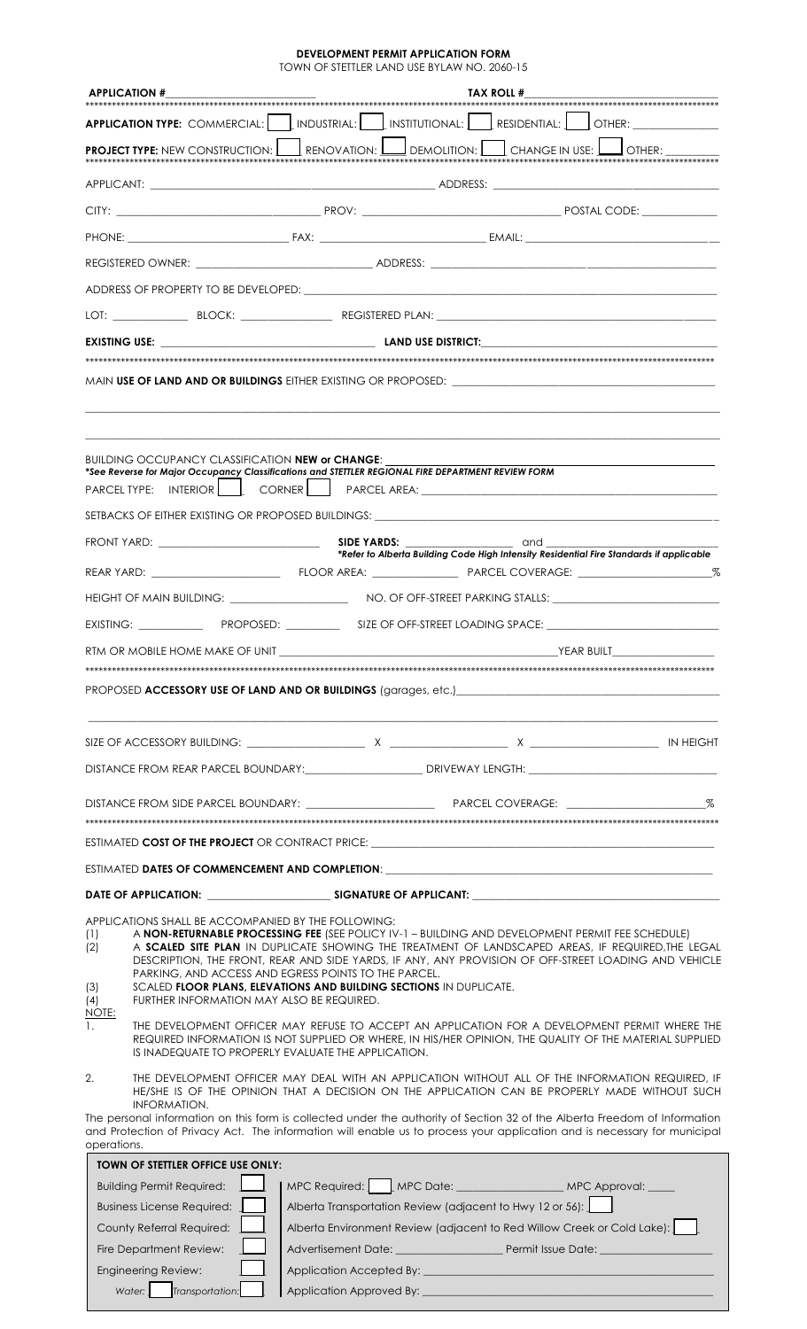**DEVELOPMENT PERMIT APPLICATION FORM**<br>TOWN OF STETTLER LAND USE BYLAW NO. 2060-15

| <b>APPLICATION #</b>                                                                                                                  | TAX ROLL #                                                                                                                                                                                                                                                                                                                                                                                                                                  |  |
|---------------------------------------------------------------------------------------------------------------------------------------|---------------------------------------------------------------------------------------------------------------------------------------------------------------------------------------------------------------------------------------------------------------------------------------------------------------------------------------------------------------------------------------------------------------------------------------------|--|
|                                                                                                                                       | <b>APPLICATION TYPE:</b> COMMERCIAL:   INDUSTRIAL:   INSTITUTIONAL:   RESIDENTIAL:   OTHER:                                                                                                                                                                                                                                                                                                                                                 |  |
|                                                                                                                                       | <b>PROJECT TYPE:</b> NEW CONSTRUCTION: $\boxed{\phantom{a}}$ RENOVATION: $\boxed{\phantom{a}}$ DEMOLITION: $\boxed{\phantom{a}}$ CHANGE IN USE: $\boxed{\phantom{a}}$ OTHER:                                                                                                                                                                                                                                                                |  |
|                                                                                                                                       |                                                                                                                                                                                                                                                                                                                                                                                                                                             |  |
|                                                                                                                                       |                                                                                                                                                                                                                                                                                                                                                                                                                                             |  |
|                                                                                                                                       |                                                                                                                                                                                                                                                                                                                                                                                                                                             |  |
|                                                                                                                                       |                                                                                                                                                                                                                                                                                                                                                                                                                                             |  |
|                                                                                                                                       |                                                                                                                                                                                                                                                                                                                                                                                                                                             |  |
|                                                                                                                                       |                                                                                                                                                                                                                                                                                                                                                                                                                                             |  |
|                                                                                                                                       |                                                                                                                                                                                                                                                                                                                                                                                                                                             |  |
|                                                                                                                                       |                                                                                                                                                                                                                                                                                                                                                                                                                                             |  |
| BUILDING OCCUPANCY CLASSIFICATION <b>NEW or CHANGE:</b>                                                                               | *See Reverse for Major Occupancy Classifications and STETTLER REGIONAL FIRE DEPARTMENT REVIEW FORM<br>PARCEL TYPE: INTERIOR   CORNER   PARCEL AREA: ___________________________________                                                                                                                                                                                                                                                     |  |
|                                                                                                                                       |                                                                                                                                                                                                                                                                                                                                                                                                                                             |  |
|                                                                                                                                       | *Refer to Alberta Building Code High Intensity Residential Fire Standards if applicable                                                                                                                                                                                                                                                                                                                                                     |  |
|                                                                                                                                       |                                                                                                                                                                                                                                                                                                                                                                                                                                             |  |
|                                                                                                                                       |                                                                                                                                                                                                                                                                                                                                                                                                                                             |  |
|                                                                                                                                       |                                                                                                                                                                                                                                                                                                                                                                                                                                             |  |
|                                                                                                                                       |                                                                                                                                                                                                                                                                                                                                                                                                                                             |  |
|                                                                                                                                       | DISTANCE FROM REAR PARCEL BOUNDARY: ________________________DRIVEWAY LENGTH: _________________________________                                                                                                                                                                                                                                                                                                                              |  |
|                                                                                                                                       |                                                                                                                                                                                                                                                                                                                                                                                                                                             |  |
|                                                                                                                                       |                                                                                                                                                                                                                                                                                                                                                                                                                                             |  |
|                                                                                                                                       | ESTIMATED DATES OF COMMENCEMENT AND COMPLETION: <b>Example 2018 12:20 AND COMPLETION</b>                                                                                                                                                                                                                                                                                                                                                    |  |
|                                                                                                                                       |                                                                                                                                                                                                                                                                                                                                                                                                                                             |  |
| APPLICATIONS SHALL BE ACCOMPANIED BY THE FOLLOWING:<br>(1)<br>(2)<br>(3)<br>FURTHER INFORMATION MAY ALSO BE REQUIRED.<br>(4)<br>NOTE: | A NON-RETURNABLE PROCESSING FEE (SEE POLICY IV-1 - BUILDING AND DEVELOPMENT PERMIT FEE SCHEDULE)<br>A SCALED SITE PLAN IN DUPLICATE SHOWING THE TREATMENT OF LANDSCAPED AREAS, IF REQUIRED, THE LEGAL<br>DESCRIPTION, THE FRONT, REAR AND SIDE YARDS, IF ANY, ANY PROVISION OF OFF-STREET LOADING AND VEHICLE<br>PARKING, AND ACCESS AND EGRESS POINTS TO THE PARCEL.<br>SCALED FLOOR PLANS, ELEVATIONS AND BUILDING SECTIONS IN DUPLICATE. |  |
| $\mathbf{1}$ .                                                                                                                        | THE DEVELOPMENT OFFICER MAY REFUSE TO ACCEPT AN APPLICATION FOR A DEVELOPMENT PERMIT WHERE THE<br>REQUIRED INFORMATION IS NOT SUPPLIED OR WHERE, IN HIS/HER OPINION, THE QUALITY OF THE MATERIAL SUPPLIED<br>IS INADEQUATE TO PROPERLY EVALUATE THE APPLICATION.                                                                                                                                                                            |  |
| 2.<br><b>INFORMATION.</b>                                                                                                             | THE DEVELOPMENT OFFICER MAY DEAL WITH AN APPLICATION WITHOUT ALL OF THE INFORMATION REQUIRED. IF<br>HE/SHE IS OF THE OPINION THAT A DECISION ON THE APPLICATION CAN BE PROPERLY MADE WITHOUT SUCH<br>The personal information on this form is collected under the authority of Section 32 of the Alberta Freedom of Information                                                                                                             |  |
| operations.                                                                                                                           | and Protection of Privacy Act. The information will enable us to process your application and is necessary for municipal                                                                                                                                                                                                                                                                                                                    |  |
| <b>TOWN OF STETTLER OFFICE USE ONLY:</b>                                                                                              |                                                                                                                                                                                                                                                                                                                                                                                                                                             |  |
| <b>Building Permit Required:</b>                                                                                                      | MPC Required: MPC Date: _____________________ MPC Approval: ____                                                                                                                                                                                                                                                                                                                                                                            |  |
| Business License Required:<br>County Referral Required:                                                                               | Alberta Transportation Review (adjacent to Hwy 12 or 56): 1<br>Alberta Environment Review (adjacent to Red Willow Creek or Cold Lake):                                                                                                                                                                                                                                                                                                      |  |
| Fire Department Review:                                                                                                               |                                                                                                                                                                                                                                                                                                                                                                                                                                             |  |
|                                                                                                                                       | Engineering Review:         Application Accepted By:                                                                                                                                                                                                                                                                                                                                                                                        |  |

Application Approved By:  $\perp$ 

Water:

 $\Box$ Transportation: